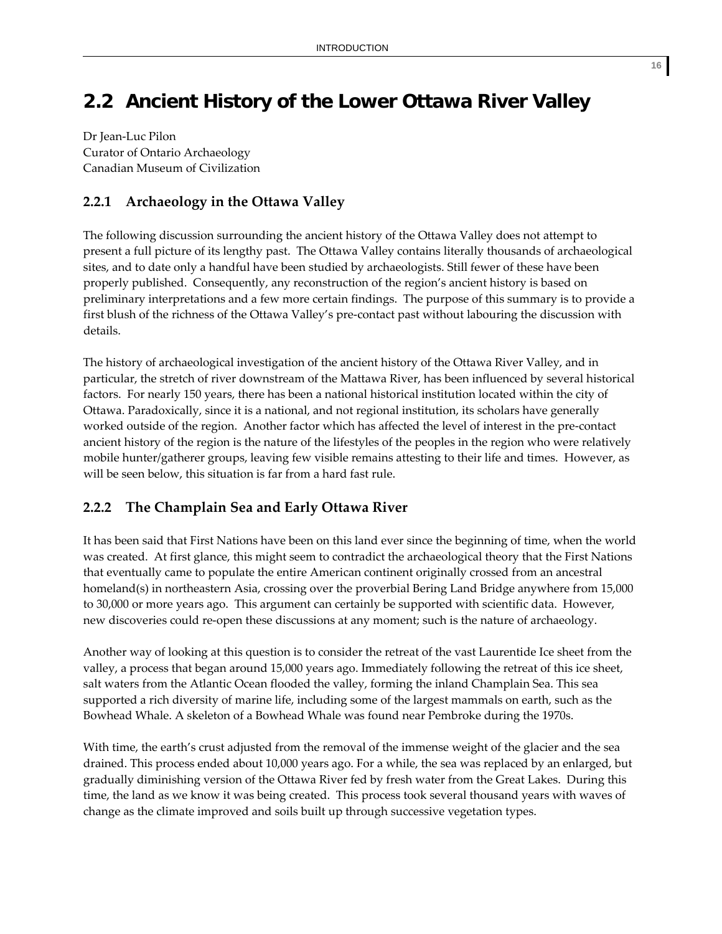# **2.2 Ancient History of the Lower Ottawa River Valley**

Dr Jean‐Luc Pilon Curator of Ontario Archaeology Canadian Museum of Civilization

# **2.2.1 Archaeology in the Ottawa Valley**

The following discussion surrounding the ancient history of the Ottawa Valley does not attempt to present a full picture of its lengthy past. The Ottawa Valley contains literally thousands of archaeological sites, and to date only a handful have been studied by archaeologists. Still fewer of these have been properly published. Consequently, any reconstruction of the region's ancient history is based on preliminary interpretations and a few more certain findings. The purpose of this summary is to provide a first blush of the richness of the Ottawa Valley's pre‐contact past without labouring the discussion with details.

The history of archaeological investigation of the ancient history of the Ottawa River Valley, and in particular, the stretch of river downstream of the Mattawa River, has been influenced by several historical factors. For nearly 150 years, there has been a national historical institution located within the city of Ottawa. Paradoxically, since it is a national, and not regional institution, its scholars have generally worked outside of the region. Another factor which has affected the level of interest in the pre‐contact ancient history of the region is the nature of the lifestyles of the peoples in the region who were relatively mobile hunter/gatherer groups, leaving few visible remains attesting to their life and times. However, as will be seen below, this situation is far from a hard fast rule.

# **2.2.2 The Champlain Sea and Early Ottawa River**

It has been said that First Nations have been on this land ever since the beginning of time, when the world was created. At first glance, this might seem to contradict the archaeological theory that the First Nations that eventually came to populate the entire American continent originally crossed from an ancestral homeland(s) in northeastern Asia, crossing over the proverbial Bering Land Bridge anywhere from 15,000 to 30,000 or more years ago. This argument can certainly be supported with scientific data. However, new discoveries could re‐open these discussions at any moment; such is the nature of archaeology.

Another way of looking at this question is to consider the retreat of the vast Laurentide Ice sheet from the valley, a process that began around 15,000 years ago. Immediately following the retreat of this ice sheet, salt waters from the Atlantic Ocean flooded the valley, forming the inland Champlain Sea. This sea supported a rich diversity of marine life, including some of the largest mammals on earth, such as the Bowhead Whale. A skeleton of a Bowhead Whale was found near Pembroke during the 1970s.

With time, the earth's crust adjusted from the removal of the immense weight of the glacier and the sea drained. This process ended about 10,000 years ago. For a while, the sea was replaced by an enlarged, but gradually diminishing version of the Ottawa River fed by fresh water from the Great Lakes. During this time, the land as we know it was being created. This process took several thousand years with waves of change as the climate improved and soils built up through successive vegetation types.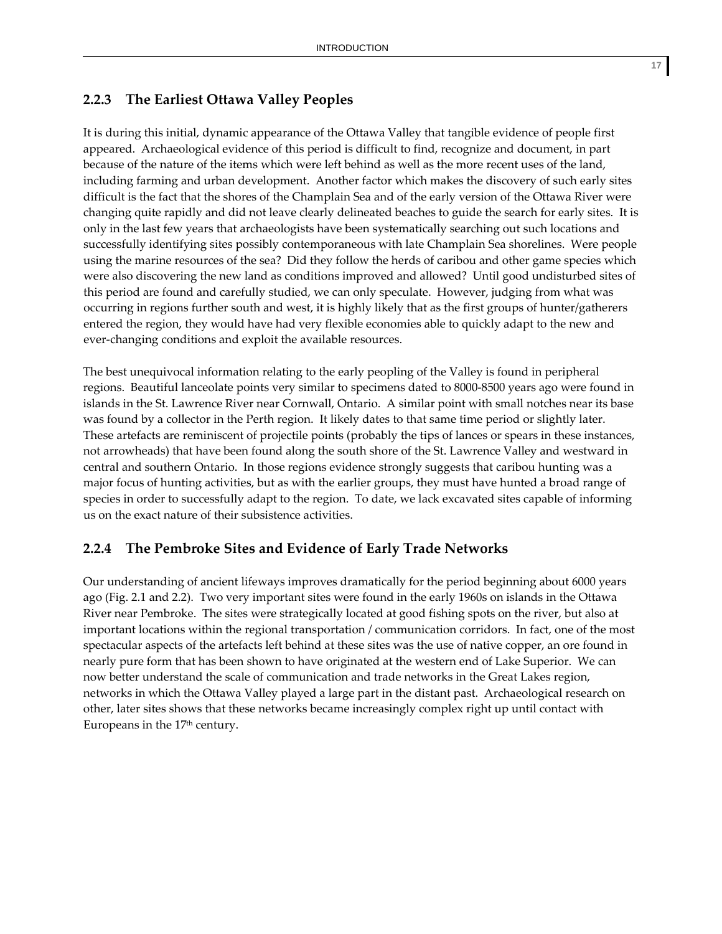# **2.2.3 The Earliest Ottawa Valley Peoples**

It is during this initial, dynamic appearance of the Ottawa Valley that tangible evidence of people first appeared. Archaeological evidence of this period is difficult to find, recognize and document, in part because of the nature of the items which were left behind as well as the more recent uses of the land, including farming and urban development. Another factor which makes the discovery of such early sites difficult is the fact that the shores of the Champlain Sea and of the early version of the Ottawa River were changing quite rapidly and did not leave clearly delineated beaches to guide the search for early sites. It is only in the last few years that archaeologists have been systematically searching out such locations and successfully identifying sites possibly contemporaneous with late Champlain Sea shorelines. Were people using the marine resources of the sea? Did they follow the herds of caribou and other game species which were also discovering the new land as conditions improved and allowed? Until good undisturbed sites of this period are found and carefully studied, we can only speculate. However, judging from what was occurring in regions further south and west, it is highly likely that as the first groups of hunter/gatherers entered the region, they would have had very flexible economies able to quickly adapt to the new and ever-changing conditions and exploit the available resources.

The best unequivocal information relating to the early peopling of the Valley is found in peripheral regions. Beautiful lanceolate points very similar to specimens dated to 8000‐8500 years ago were found in islands in the St. Lawrence River near Cornwall, Ontario. A similar point with small notches near its base was found by a collector in the Perth region. It likely dates to that same time period or slightly later. These artefacts are reminiscent of projectile points (probably the tips of lances or spears in these instances, not arrowheads) that have been found along the south shore of the St. Lawrence Valley and westward in central and southern Ontario. In those regions evidence strongly suggests that caribou hunting was a major focus of hunting activities, but as with the earlier groups, they must have hunted a broad range of species in order to successfully adapt to the region. To date, we lack excavated sites capable of informing us on the exact nature of their subsistence activities.

### **2.2.4 The Pembroke Sites and Evidence of Early Trade Networks**

Our understanding of ancient lifeways improves dramatically for the period beginning about 6000 years ago (Fig. 2.1 and 2.2). Two very important sites were found in the early 1960s on islands in the Ottawa River near Pembroke. The sites were strategically located at good fishing spots on the river, but also at important locations within the regional transportation / communication corridors. In fact, one of the most spectacular aspects of the artefacts left behind at these sites was the use of native copper, an ore found in nearly pure form that has been shown to have originated at the western end of Lake Superior. We can now better understand the scale of communication and trade networks in the Great Lakes region, networks in which the Ottawa Valley played a large part in the distant past. Archaeological research on other, later sites shows that these networks became increasingly complex right up until contact with Europeans in the 17<sup>th</sup> century.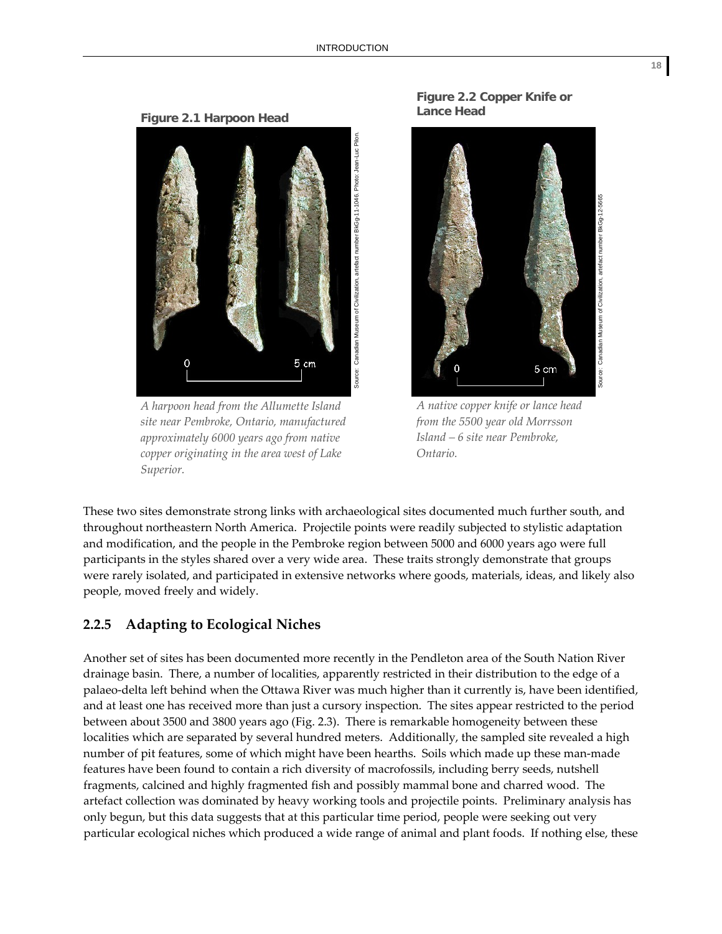**Figure 2.1 Harpoon Head** 



*A harpoon head from the Allumette Island site near Pembroke, Ontario, manufactured approximately 6000 years ago from native copper originating in the area west of Lake Superior.*



**Figure 2.2 Copper Knife or** 

**Lance Head**

*A native copper knife or lance head from the 5500 year old Morrsson Island – 6 site near Pembroke, Ontario.*

These two sites demonstrate strong links with archaeological sites documented much further south, and throughout northeastern North America. Projectile points were readily subjected to stylistic adaptation and modification, and the people in the Pembroke region between 5000 and 6000 years ago were full participants in the styles shared over a very wide area. These traits strongly demonstrate that groups were rarely isolated, and participated in extensive networks where goods, materials, ideas, and likely also people, moved freely and widely.

### **2.2.5 Adapting to Ecological Niches**

Another set of sites has been documented more recently in the Pendleton area of the South Nation River drainage basin. There, a number of localities, apparently restricted in their distribution to the edge of a palaeo‐delta left behind when the Ottawa River was much higher than it currently is, have been identified, and at least one has received more than just a cursory inspection. The sites appear restricted to the period between about 3500 and 3800 years ago (Fig. 2.3). There is remarkable homogeneity between these localities which are separated by several hundred meters. Additionally, the sampled site revealed a high number of pit features, some of which might have been hearths. Soils which made up these man-made features have been found to contain a rich diversity of macrofossils, including berry seeds, nutshell fragments, calcined and highly fragmented fish and possibly mammal bone and charred wood. The artefact collection was dominated by heavy working tools and projectile points. Preliminary analysis has only begun, but this data suggests that at this particular time period, people were seeking out very particular ecological niches which produced a wide range of animal and plant foods. If nothing else, these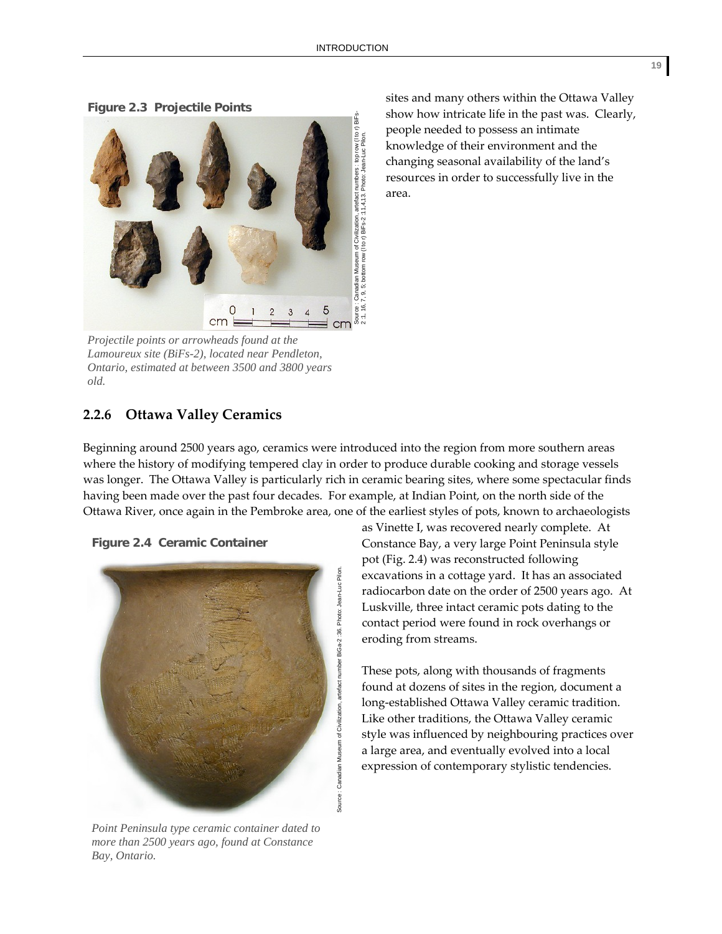**Figure 2.3 Projectile Points** 



*Projectile points or arrowheads found at the Lamoureux site (BiFs-2), located near Pendleton, Ontario, estimated at between 3500 and 3800 years old.* 

**2.2.6 Ottawa Valley Ceramics**

sites and many others within the Ottawa Valley show how intricate life in the past was. Clearly, people needed to possess an intimate knowledge of their environment and the changing seasonal availability of the land's resources in order to successfully live in the area.

Beginning around 2500 years ago, ceramics were introduced into the region from more southern areas where the history of modifying tempered clay in order to produce durable cooking and storage vessels was longer. The Ottawa Valley is particularly rich in ceramic bearing sites, where some spectacular finds having been made over the past four decades. For example, at Indian Point, on the north side of the Ottawa River, once again in the Pembroke area, one of the earliest styles of pots, known to archaeologists

**Figure 2.4 Ceramic Container**



*Point Peninsula type ceramic container dated to more than 2500 years ago, found at Constance Bay, Ontario.* 

as Vinette I, was recovered nearly complete. At Constance Bay, a very large Point Peninsula style pot (Fig. 2.4) was reconstructed following excavations in a cottage yard. It has an associated radiocarbon date on the order of 2500 years ago. At Luskville, three intact ceramic pots dating to the contact period were found in rock overhangs or eroding from streams.

These pots, along with thousands of fragments found at dozens of sites in the region, document a long‐established Ottawa Valley ceramic tradition. Like other traditions, the Ottawa Valley ceramic style was influenced by neighbouring practices over a large area, and eventually evolved into a local expression of contemporary stylistic tendencies.